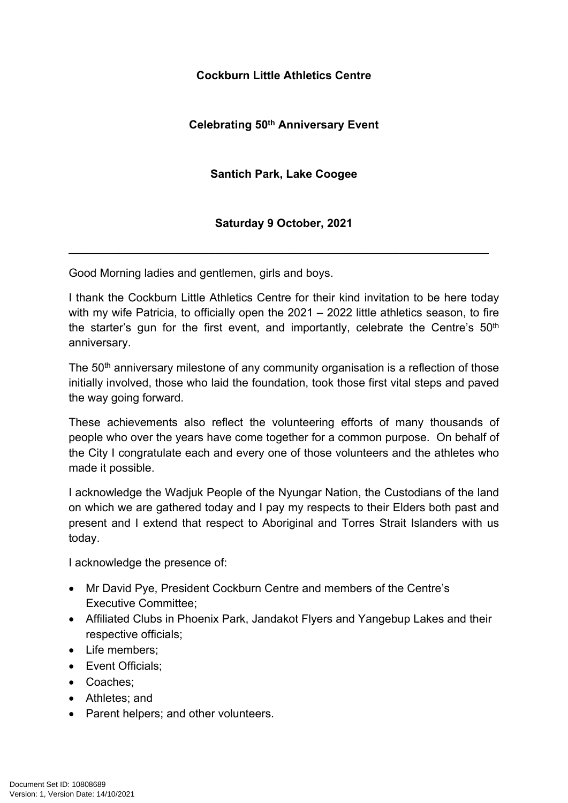## **Cockburn Little Athletics Centre**

## **Celebrating 50th Anniversary Event**

## **Santich Park, Lake Coogee**

## **Saturday 9 October, 2021**

\_\_\_\_\_\_\_\_\_\_\_\_\_\_\_\_\_\_\_\_\_\_\_\_\_\_\_\_\_\_\_\_\_\_\_\_\_\_\_\_\_\_\_\_\_\_\_\_\_\_\_\_\_\_\_\_\_\_\_\_\_\_\_\_\_\_

Good Morning ladies and gentlemen, girls and boys.

I thank the Cockburn Little Athletics Centre for their kind invitation to be here today with my wife Patricia, to officially open the 2021 – 2022 little athletics season, to fire the starter's gun for the first event, and importantly, celebrate the Centre's 50<sup>th</sup> anniversary.

The 50<sup>th</sup> anniversary milestone of any community organisation is a reflection of those initially involved, those who laid the foundation, took those first vital steps and paved the way going forward.

These achievements also reflect the volunteering efforts of many thousands of people who over the years have come together for a common purpose. On behalf of the City I congratulate each and every one of those volunteers and the athletes who made it possible.

I acknowledge the Wadjuk People of the Nyungar Nation, the Custodians of the land on which we are gathered today and I pay my respects to their Elders both past and present and I extend that respect to Aboriginal and Torres Strait Islanders with us today.

I acknowledge the presence of:

- Mr David Pye, President Cockburn Centre and members of the Centre's Executive Committee;
- Affiliated Clubs in Phoenix Park, Jandakot Flyers and Yangebup Lakes and their respective officials;
- Life members:
- Event Officials:
- Coaches:
- Athletes; and
- Parent helpers; and other volunteers.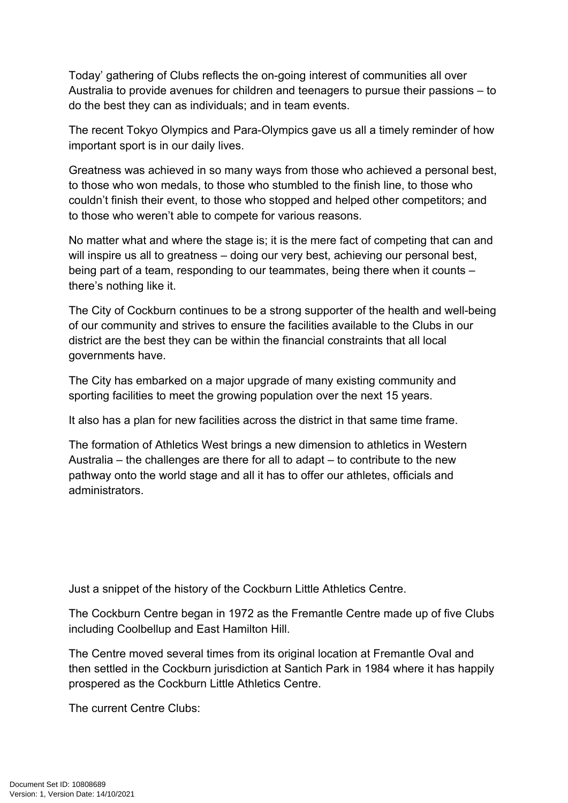Today' gathering of Clubs reflects the on-going interest of communities all over Australia to provide avenues for children and teenagers to pursue their passions – to do the best they can as individuals; and in team events.

The recent Tokyo Olympics and Para-Olympics gave us all a timely reminder of how important sport is in our daily lives.

Greatness was achieved in so many ways from those who achieved a personal best, to those who won medals, to those who stumbled to the finish line, to those who couldn't finish their event, to those who stopped and helped other competitors; and to those who weren't able to compete for various reasons.

No matter what and where the stage is; it is the mere fact of competing that can and will inspire us all to greatness – doing our very best, achieving our personal best, being part of a team, responding to our teammates, being there when it counts – there's nothing like it.

The City of Cockburn continues to be a strong supporter of the health and well-being of our community and strives to ensure the facilities available to the Clubs in our district are the best they can be within the financial constraints that all local governments have.

The City has embarked on a major upgrade of many existing community and sporting facilities to meet the growing population over the next 15 years.

It also has a plan for new facilities across the district in that same time frame.

The formation of Athletics West brings a new dimension to athletics in Western Australia – the challenges are there for all to adapt – to contribute to the new pathway onto the world stage and all it has to offer our athletes, officials and administrators.

Just a snippet of the history of the Cockburn Little Athletics Centre.

The Cockburn Centre began in 1972 as the Fremantle Centre made up of five Clubs including Coolbellup and East Hamilton Hill.

The Centre moved several times from its original location at Fremantle Oval and then settled in the Cockburn jurisdiction at Santich Park in 1984 where it has happily prospered as the Cockburn Little Athletics Centre.

The current Centre Clubs: